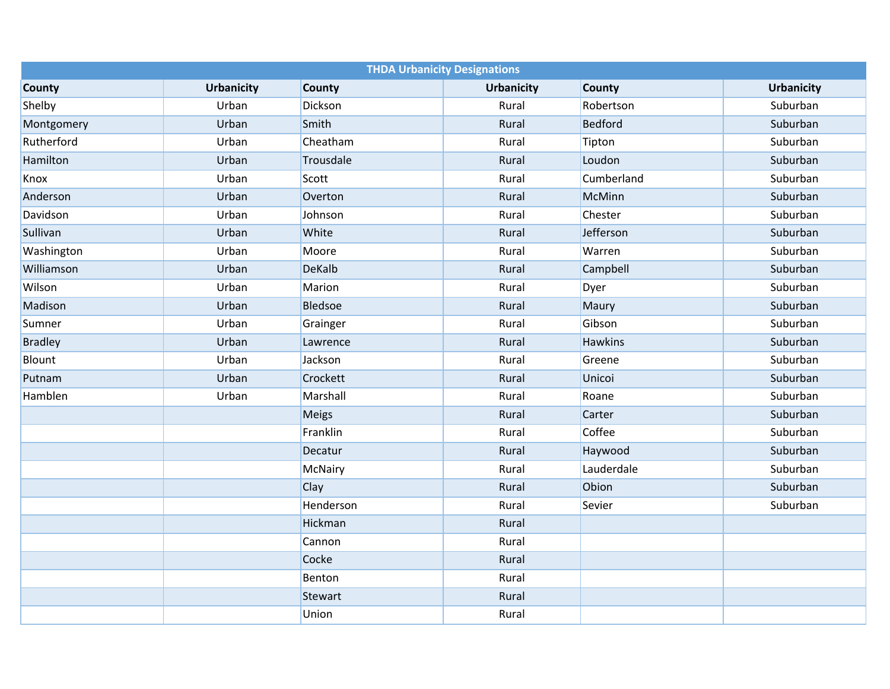| <b>THDA Urbanicity Designations</b> |                   |                |                   |                |                   |  |  |  |
|-------------------------------------|-------------------|----------------|-------------------|----------------|-------------------|--|--|--|
| <b>County</b>                       | <b>Urbanicity</b> | <b>County</b>  | <b>Urbanicity</b> | <b>County</b>  | <b>Urbanicity</b> |  |  |  |
| Shelby                              | Urban             | Dickson        | Rural             | Robertson      | Suburban          |  |  |  |
| Montgomery                          | Urban             | Smith          | Rural             | <b>Bedford</b> | Suburban          |  |  |  |
| Rutherford                          | Urban             | Cheatham       | Rural             | Tipton         | Suburban          |  |  |  |
| Hamilton                            | Urban             | Trousdale      | Rural             | Loudon         | Suburban          |  |  |  |
| Knox                                | Urban             | Scott          | Rural             | Cumberland     | Suburban          |  |  |  |
| Anderson                            | Urban             | Overton        | Rural             | <b>McMinn</b>  | Suburban          |  |  |  |
| Davidson                            | Urban             | Johnson        | Rural             | Chester        | Suburban          |  |  |  |
| Sullivan                            | Urban             | White          | Rural             | Jefferson      | Suburban          |  |  |  |
| Washington                          | Urban             | Moore          | Rural             | Warren         | Suburban          |  |  |  |
| Williamson                          | Urban             | <b>DeKalb</b>  | Rural             | Campbell       | Suburban          |  |  |  |
| Wilson                              | Urban             | Marion         | Rural             | <b>Dyer</b>    | Suburban          |  |  |  |
| Madison                             | Urban             | <b>Bledsoe</b> | Rural             | Maury          | Suburban          |  |  |  |
| Sumner                              | Urban             | Grainger       | Rural             | Gibson         | Suburban          |  |  |  |
| <b>Bradley</b>                      | Urban             | Lawrence       | Rural             | <b>Hawkins</b> | Suburban          |  |  |  |
| Blount                              | Urban             | Jackson        | Rural             | Greene         | Suburban          |  |  |  |
| Putnam                              | Urban             | Crockett       | Rural             | Unicoi         | Suburban          |  |  |  |
| Hamblen                             | Urban             | Marshall       | Rural             | Roane          | Suburban          |  |  |  |
|                                     |                   | <b>Meigs</b>   | Rural             | Carter         | Suburban          |  |  |  |
|                                     |                   | Franklin       | Rural             | Coffee         | Suburban          |  |  |  |
|                                     |                   | Decatur        | Rural             | Haywood        | Suburban          |  |  |  |
|                                     |                   | <b>McNairy</b> | Rural             | Lauderdale     | Suburban          |  |  |  |
|                                     |                   | Clay           | Rural             | Obion          | Suburban          |  |  |  |
|                                     |                   | Henderson      | Rural             | Sevier         | Suburban          |  |  |  |
|                                     |                   | Hickman        | Rural             |                |                   |  |  |  |
|                                     |                   | Cannon         | Rural             |                |                   |  |  |  |
|                                     |                   | Cocke          | Rural             |                |                   |  |  |  |
|                                     |                   | Benton         | Rural             |                |                   |  |  |  |
|                                     |                   | Stewart        | Rural             |                |                   |  |  |  |
|                                     |                   | Union          | Rural             |                |                   |  |  |  |